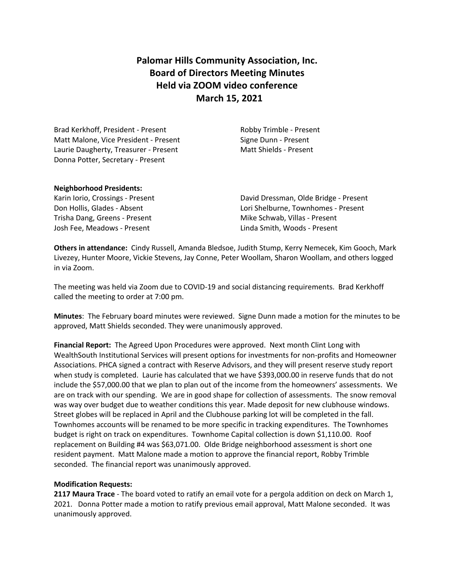# **Palomar Hills Community Association, Inc. Board of Directors Meeting Minutes Held via ZOOM video conference March 15, 2021**

Brad Kerkhoff, President - Present Robby Trimble - Present Matt Malone, Vice President - Present Signe Dunn - Present Laurie Daugherty, Treasurer - Present Matt Shields - Present Donna Potter, Secretary - Present

### **Neighborhood Presidents:**

Trisha Dang, Greens - Present Mike Schwab, Villas - Present Josh Fee, Meadows - Present Linda Smith, Woods - Present

Karin Iorio, Crossings - Present David Dressman, Olde Bridge - Present Don Hollis, Glades - Absent Lori Shelburne, Townhomes - Present

**Others in attendance:** Cindy Russell, Amanda Bledsoe, Judith Stump, Kerry Nemecek, Kim Gooch, Mark Livezey, Hunter Moore, Vickie Stevens, Jay Conne, Peter Woollam, Sharon Woollam, and others logged in via Zoom.

The meeting was held via Zoom due to COVID-19 and social distancing requirements. Brad Kerkhoff called the meeting to order at 7:00 pm.

**Minutes**: The February board minutes were reviewed. Signe Dunn made a motion for the minutes to be approved, Matt Shields seconded. They were unanimously approved.

**Financial Report:** The Agreed Upon Procedures were approved. Next month Clint Long with WealthSouth Institutional Services will present options for investments for non-profits and Homeowner Associations. PHCA signed a contract with Reserve Advisors, and they will present reserve study report when study is completed. Laurie has calculated that we have \$393,000.00 in reserve funds that do not include the \$57,000.00 that we plan to plan out of the income from the homeowners' assessments. We are on track with our spending. We are in good shape for collection of assessments. The snow removal was way over budget due to weather conditions this year. Made deposit for new clubhouse windows. Street globes will be replaced in April and the Clubhouse parking lot will be completed in the fall. Townhomes accounts will be renamed to be more specific in tracking expenditures. The Townhomes budget is right on track on expenditures. Townhome Capital collection is down \$1,110.00. Roof replacement on Building #4 was \$63,071.00. Olde Bridge neighborhood assessment is short one resident payment. Matt Malone made a motion to approve the financial report, Robby Trimble seconded. The financial report was unanimously approved.

### **Modification Requests:**

**2117 Maura Trace** - The board voted to ratify an email vote for a pergola addition on deck on March 1, 2021. Donna Potter made a motion to ratify previous email approval, Matt Malone seconded. It was unanimously approved.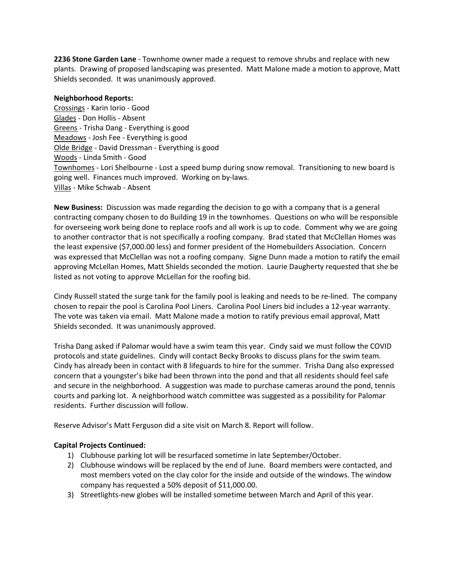**2236 Stone Garden Lane** - Townhome owner made a request to remove shrubs and replace with new plants. Drawing of proposed landscaping was presented. Matt Malone made a motion to approve, Matt Shields seconded. It was unanimously approved.

#### **Neighborhood Reports:**

Crossings - Karin Iorio - Good Glades - Don Hollis - Absent Greens - Trisha Dang - Everything is good Meadows - Josh Fee - Everything is good Olde Bridge - David Dressman - Everything is good Woods - Linda Smith - Good Townhomes - Lori Shelbourne - Lost a speed bump during snow removal. Transitioning to new board is going well. Finances much improved. Working on by-laws. Villas - Mike Schwab - Absent

**New Business:** Discussion was made regarding the decision to go with a company that is a general contracting company chosen to do Building 19 in the townhomes. Questions on who will be responsible for overseeing work being done to replace roofs and all work is up to code. Comment why we are going to another contractor that is not specifically a roofing company. Brad stated that McClellan Homes was the least expensive (\$7,000.00 less) and former president of the Homebuilders Association. Concern was expressed that McClellan was not a roofing company. Signe Dunn made a motion to ratify the email approving McLellan Homes, Matt Shields seconded the motion. Laurie Daugherty requested that she be listed as not voting to approve McLellan for the roofing bid.

Cindy Russell stated the surge tank for the family pool is leaking and needs to be re-lined. The company chosen to repair the pool is Carolina Pool Liners. Carolina Pool Liners bid includes a 12-year warranty. The vote was taken via email. Matt Malone made a motion to ratify previous email approval, Matt Shields seconded. It was unanimously approved.

Trisha Dang asked if Palomar would have a swim team this year. Cindy said we must follow the COVID protocols and state guidelines. Cindy will contact Becky Brooks to discuss plans for the swim team. Cindy has already been in contact with 8 lifeguards to hire for the summer. Trisha Dang also expressed concern that a youngster's bike had been thrown into the pond and that all residents should feel safe and secure in the neighborhood. A suggestion was made to purchase cameras around the pond, tennis courts and parking lot. A neighborhood watch committee was suggested as a possibility for Palomar residents. Further discussion will follow.

Reserve Advisor's Matt Ferguson did a site visit on March 8. Report will follow.

### **Capital Projects Continued:**

- 1) Clubhouse parking lot will be resurfaced sometime in late September/October.
- 2) Clubhouse windows will be replaced by the end of June. Board members were contacted, and most members voted on the clay color for the inside and outside of the windows. The window company has requested a 50% deposit of \$11,000.00.
- 3) Streetlights-new globes will be installed sometime between March and April of this year.